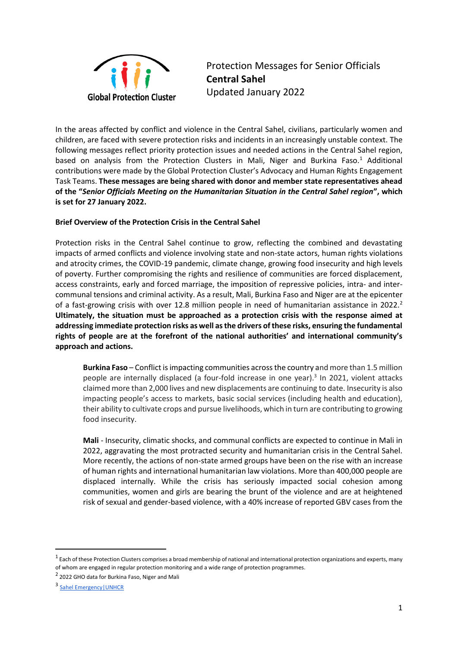

Protection Messages for Senior Officials **Central Sahel** Updated January 2022

In the areas affected by conflict and violence in the Central Sahel, civilians, particularly women and children, are faced with severe protection risks and incidents in an increasingly unstable context. The following messages reflect priority protection issues and needed actions in the Central Sahel region, based on analysis from the Protection Clusters in Mali, Niger and Burkina Faso.<sup>1</sup> Additional contributions were made by the Global Protection Cluster's Advocacy and Human Rights Engagement Task Teams. **These messages are being shared with donor and member state representatives ahead of the "***Senior Officials Meeting on the Humanitarian Situation in the Central Sahel region***", which is set for 27 January 2022.** 

## **Brief Overview of the Protection Crisis in the Central Sahel**

Protection risks in the Central Sahel continue to grow, reflecting the combined and devastating impacts of armed conflicts and violence involving state and non-state actors, human rights violations and atrocity crimes, the COVID-19 pandemic, climate change, growing food insecurity and high levels of poverty. Further compromising the rights and resilience of communities are forced displacement, access constraints, early and forced marriage, the imposition of repressive policies, intra- and intercommunal tensions and criminal activity. As a result, Mali, Burkina Faso and Niger are at the epicenter of a fast-growing crisis with over 12.8 million people in need of humanitarian assistance in 2022.<sup>2</sup> **Ultimately, the situation must be approached as a protection crisis with the response aimed at addressing immediate protection risks as well as the drivers of these risks, ensuring the fundamental rights of people are at the forefront of the national authorities' and international community's approach and actions.** 

**Burkina Faso** – Conflict is impacting communities across the country and more than 1.5 million people are internally displaced (a four-fold increase in one year).<sup>3</sup> In 2021, violent attacks claimed more than 2,000 lives and new displacements are continuing to date. Insecurity is also impacting people's access to markets, basic social services (including health and education), their ability to cultivate crops and pursue livelihoods, which in turn are contributing to growing food insecurity.

**Mali** - Insecurity, climatic shocks, and communal conflicts are expected to continue in Mali in 2022, aggravating the most protracted security and humanitarian crisis in the Central Sahel. More recently, the actions of non-state armed groups have been on the rise with an increase of human rights and international humanitarian law violations. More than 400,000 people are displaced internally. While the crisis has seriously impacted social cohesion among communities, women and girls are bearing the brunt of the violence and are at heightened risk of sexual and gender-based violence, with a 40% increase of reported GBV cases from the

 $^1$  Each of these Protection Clusters comprises a broad membership of national and international protection organizations and experts, many of whom are engaged in regular protection monitoring and a wide range of protection programmes.

<sup>&</sup>lt;sup>2</sup> 2022 GHO data for Burkina Faso, Niger and Mali

<sup>3</sup> Sahel Emergency | UNHCR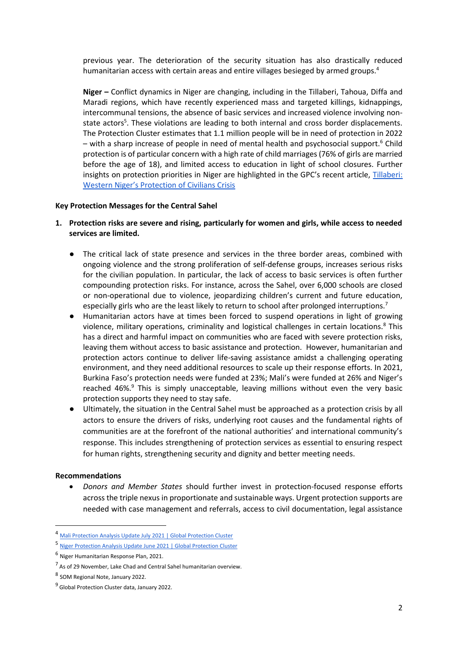previous year. The deterioration of the security situation has also drastically reduced humanitarian access with certain areas and entire villages besieged by armed groups.<sup>4</sup>

**Niger –** Conflict dynamics in Niger are changing, including in the Tillaberi, Tahoua, Diffa and Maradi regions, which have recently experienced mass and targeted killings, kidnappings, intercommunal tensions, the absence of basic services and increased violence involving nonstate actors<sup>5</sup>. These violations are leading to both internal and cross border displacements. The Protection Cluster estimates that 1.1 million people will be in need of protection in 2022 – with a sharp increase of people in need of mental health and psychosocial support.<sup>6</sup> Child protection is of particular concern with a high rate of child marriages (76% of girls are married before the age of 18), and limited access to education in light of school closures. Further insights on protection priorities in Niger are highlighted in the GPC's recent article, [Tillaberi:](https://www.globalprotectioncluster.org/2022/01/21/tillaberi-western-nigers-protection-of-civilians-crisis/)  [Western Niger's Protection of Civilians Crisis](https://www.globalprotectioncluster.org/2022/01/21/tillaberi-western-nigers-protection-of-civilians-crisis/)

#### **Key Protection Messages for the Central Sahel**

- **1. Protection risks are severe and rising, particularly for women and girls, while access to needed services are limited.** 
	- The critical lack of state presence and services in the three border areas, combined with ongoing violence and the strong proliferation of self-defense groups, increases serious risks for the civilian population. In particular, the lack of access to basic services is often further compounding protection risks. For instance, across the Sahel, over 6,000 schools are closed or non-operational due to violence, jeopardizing children's current and future education, especially girls who are the least likely to return to school after prolonged interruptions.<sup>7</sup>
	- Humanitarian actors have at times been forced to suspend operations in light of growing violence, military operations, criminality and logistical challenges in certain locations.<sup>8</sup> This has a direct and harmful impact on communities who are faced with severe protection risks, leaving them without access to basic assistance and protection. However, humanitarian and protection actors continue to deliver life-saving assistance amidst a challenging operating environment, and they need additional resources to scale up their response efforts. In 2021, Burkina Faso's protection needs were funded at 23%; Mali's were funded at 26% and Niger's reached 46%.<sup>9</sup> This is simply unacceptable, leaving millions without even the very basic protection supports they need to stay safe.
	- Ultimately, the situation in the Central Sahel must be approached as a protection crisis by all actors to ensure the drivers of risks, underlying root causes and the fundamental rights of communities are at the forefront of the national authorities' and international community's response. This includes strengthening of protection services as essential to ensuring respect for human rights, strengthening security and dignity and better meeting needs.

#### **Recommendations**

• *Donors and Member States* should further invest in protection-focused response efforts across the triple nexus in proportionate and sustainable ways. Urgent protection supports are needed with case management and referrals, access to civil documentation, legal assistance

<sup>4</sup> [Mali Protection Analysis Update July 2021 | Global Protection Cluster](https://www.globalprotectioncluster.org/2021/08/04/mali-protection-analysis-update-july-2021/)

<sup>5</sup> [Niger Protection Analysis Update June 2021 | Global Protection Cluster](https://www.globalprotectioncluster.org/wp-content/uploads/Protection-Analysis-Update_Niger_Juin2021_Final.pdf)

<sup>6</sup> Niger Humanitarian Response Plan, 2021.

<sup>&</sup>lt;sup>7</sup> As of 29 November, Lake Chad and Central Sahel humanitarian overview.

<sup>8</sup> SOM Regional Note, January 2022.

<sup>&</sup>lt;sup>9</sup> Global Protection Cluster data, January 2022.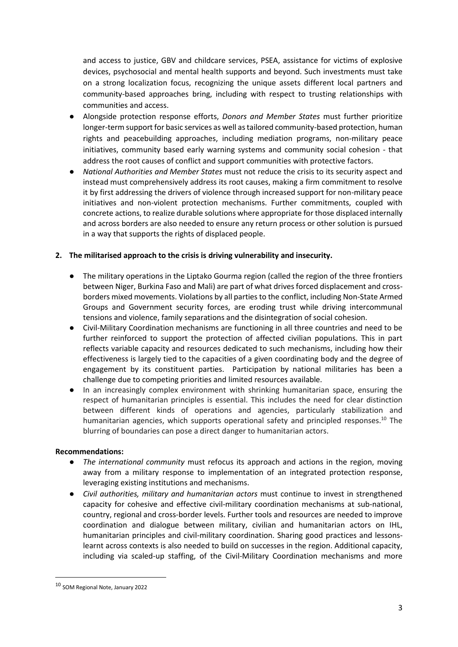and access to justice, GBV and childcare services, PSEA, assistance for victims of explosive devices, psychosocial and mental health supports and beyond. Such investments must take on a strong localization focus, recognizing the unique assets different local partners and community-based approaches bring, including with respect to trusting relationships with communities and access.

- Alongside protection response efforts, *Donors and Member States* must further prioritize longer-term support for basic services as well as tailored community-based protection, human rights and peacebuilding approaches, including mediation programs, non-military peace initiatives, community based early warning systems and community social cohesion - that address the root causes of conflict and support communities with protective factors.
- *National Authorities and Member States* must not reduce the crisis to its security aspect and instead must comprehensively address its root causes, making a firm commitment to resolve it by first addressing the drivers of violence through increased support for non-military peace initiatives and non-violent protection mechanisms. Further commitments, coupled with concrete actions, to realize durable solutions where appropriate for those displaced internally and across borders are also needed to ensure any return process or other solution is pursued in a way that supports the rights of displaced people.

## **2. The militarised approach to the crisis is driving vulnerability and insecurity.**

- The military operations in the Liptako Gourma region (called the region of the three frontiers between Niger, Burkina Faso and Mali) are part of what drives forced displacement and crossborders mixed movements. Violations by all parties to the conflict, including Non-State Armed Groups and Government security forces, are eroding trust while driving intercommunal tensions and violence, family separations and the disintegration of social cohesion.
- Civil-Military Coordination mechanisms are functioning in all three countries and need to be further reinforced to support the protection of affected civilian populations. This in part reflects variable capacity and resources dedicated to such mechanisms, including how their effectiveness is largely tied to the capacities of a given coordinating body and the degree of engagement by its constituent parties. Participation by national militaries has been a challenge due to competing priorities and limited resources available.
- In an increasingly complex environment with shrinking humanitarian space, ensuring the respect of humanitarian principles is essential. This includes the need for clear distinction between different kinds of operations and agencies, particularly stabilization and humanitarian agencies, which supports operational safety and principled responses.<sup>10</sup> The blurring of boundaries can pose a direct danger to humanitarian actors.

### **Recommendations:**

- *The international community* must refocus its approach and actions in the region, moving away from a military response to implementation of an integrated protection response, leveraging existing institutions and mechanisms.
- *Civil authorities, military and humanitarian actors* must continue to invest in strengthened capacity for cohesive and effective civil-military coordination mechanisms at sub-national, country, regional and cross-border levels. Further tools and resources are needed to improve coordination and dialogue between military, civilian and humanitarian actors on IHL, humanitarian principles and civil-military coordination. Sharing good practices and lessonslearnt across contexts is also needed to build on successes in the region. Additional capacity, including via scaled-up staffing, of the Civil-Military Coordination mechanisms and more

<sup>10</sup> SOM Regional Note, January 2022